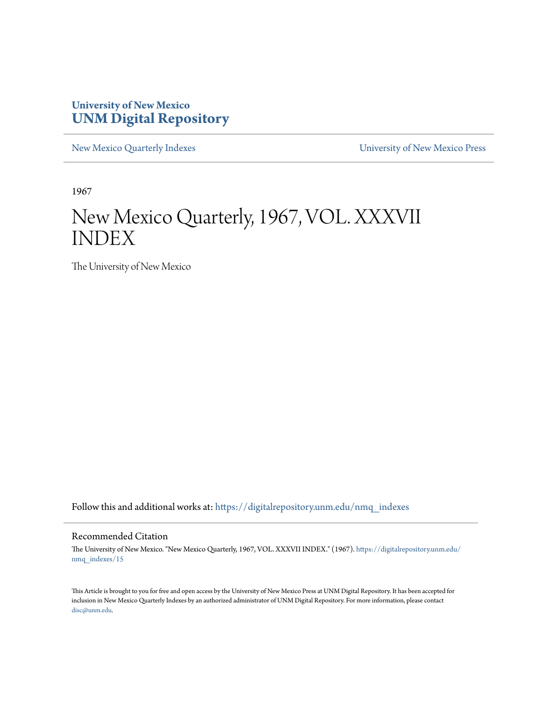### **University of New Mexico [UNM Digital Repository](https://digitalrepository.unm.edu?utm_source=digitalrepository.unm.edu%2Fnmq_indexes%2F15&utm_medium=PDF&utm_campaign=PDFCoverPages)**

[New Mexico Quarterly Indexes](https://digitalrepository.unm.edu/nmq_indexes?utm_source=digitalrepository.unm.edu%2Fnmq_indexes%2F15&utm_medium=PDF&utm_campaign=PDFCoverPages) [University of New Mexico Press](https://digitalrepository.unm.edu/press?utm_source=digitalrepository.unm.edu%2Fnmq_indexes%2F15&utm_medium=PDF&utm_campaign=PDFCoverPages)

1967

### New Mexico Quarterly, 1967, VOL. XXXVII INDEX

The University of New Mexico

Follow this and additional works at: [https://digitalrepository.unm.edu/nmq\\_indexes](https://digitalrepository.unm.edu/nmq_indexes?utm_source=digitalrepository.unm.edu%2Fnmq_indexes%2F15&utm_medium=PDF&utm_campaign=PDFCoverPages)

#### Recommended Citation

The University of New Mexico. "New Mexico Quarterly, 1967, VOL. XXXVII INDEX." (1967). [https://digitalrepository.unm.edu/](https://digitalrepository.unm.edu/nmq_indexes/15?utm_source=digitalrepository.unm.edu%2Fnmq_indexes%2F15&utm_medium=PDF&utm_campaign=PDFCoverPages) [nmq\\_indexes/15](https://digitalrepository.unm.edu/nmq_indexes/15?utm_source=digitalrepository.unm.edu%2Fnmq_indexes%2F15&utm_medium=PDF&utm_campaign=PDFCoverPages)

This Article is brought to you for free and open access by the University of New Mexico Press at UNM Digital Repository. It has been accepted for inclusion in New Mexico Quarterly Indexes by an authorized administrator of UNM Digital Repository. For more information, please contact [disc@unm.edu](mailto:disc@unm.edu).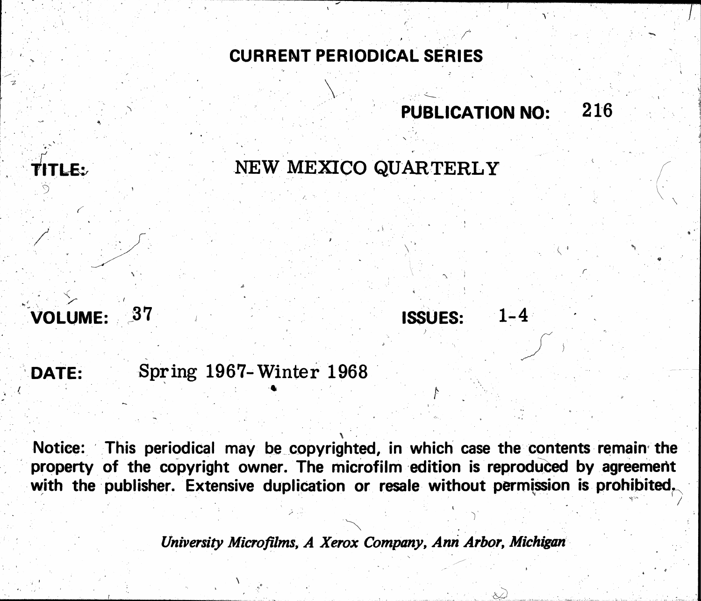## CURRENT PERIODICAL SERIES

### 37 VOLUME:

TITLE:

## Spring 1967-Winter 1968 DATE:

Notice: This periodical may be copyrighted, in which case the contents remain the property of the copyright owner. The microfilm edition is reproduced by agreement with the publisher. Extensive duplication or resale without permission is prohibited,

University Microfilms, A Xerox Company, Ann Arbor, Michigan

# **PUBLICATION NO:**

 $1 - 4$ 

216

## NEW MEXICO QUARTERLY

## **ISSUES:**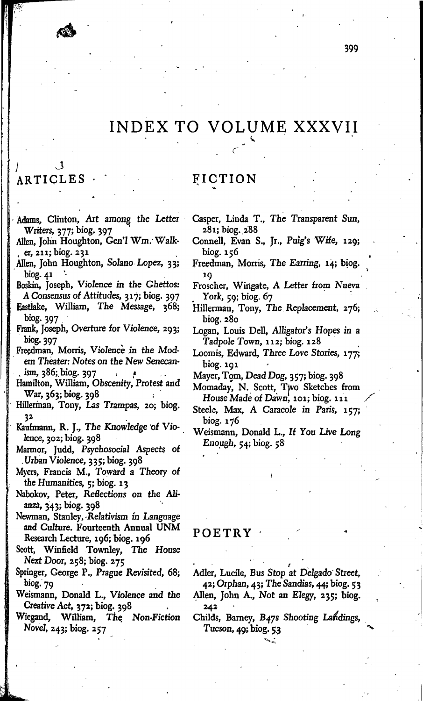### INDEX TO VOLUME XXXVII

### ARTICLES

Adams, Clinton, Art among the Letter Writers, 377; biog. 397

Allen, John Houghton, Gen'l Wm. Walker, 211; biog. 231

Allen, John Houghton, Solano Lopez, 33; biog. 41

Boskin, Joseph, Violence in the Ghettos: A Consensus of Attitudes, 317; biog. 397

- Eastlake, William, The Message, 368; biog. 397
- Frank, Joseph, Overture for Violence, 293; biog. 397
- Freedman, Morris, Violence in the Modern Theater: Notes on the New Senecanism, 386; biog. 397
- Hamilton, William, Obscenity, Protest and War, 363; biog. 398
- Hillerman, Tony, Las Trampas, 20; biog. 32
- Kaufmann, R. J., The Knowledge of Violence,  $302$ ; biog.  $398$
- Marmor, Judd, Psychosocial Aspects of Urban Violence, 335; biog. 398
- Myers, Francis M., Toward a Theory of the Humanities, 5; biog. 13
- Nabokov, Peter, Reflections on the Alianza, 343; biog. 398
- Newman, Stanley, Relativism in Language and Culture. Fourteenth Annual UNM Research Lecture, 196; biog. 196
- Scott, Winfield Townley, The House Next Door, 258; biog. 275
- Springer, George P., Prague Revisited, 68; biog. 79
- Weismann, Donald L., Violence and the Creative Act, 372; biog. 398
- Wiegand, William, The Non-Fiction Novel, 243; biog. 257

FICTION

- Casper, Linda T., The Transparent Sun, 281; biog. 288
- Connell, Evan S., Jr., Puig's Wife, 129; biog. 156
- Freedman, Morris, The Earring, 14; biog. 19
- Froscher, Wingate, A Letter from Nueva York, 59; biog. 67
- Hillerman, Tony, The Replacement, 276; biog. 280
- Logan, Louis Dell, Alligator's Hopes in a Tadpole Town, 112; biog. 128
- Loomis, Edward, Three Love Stories, 177; biog. 191

Mayer, Tom, Dead Dog, 357; biog. 398

- Momaday, N. Scott, Two Sketches from House Made of Dawn, 101; biog. 111
- Steele, Max, A Caracole in Paris, 157; biog. 176
- Weismann, Donald L., If You Live Long Enough, 54; biog. 58

#### POETRY

Adler, Lucile, Bus Stop at Delgado Street, 42; Orphan, 43; The Sandias, 44; biog. 53

- Allen, John A., Not an Elegy, 235; biog. 242
- Childs, Barney, B47s Shooting Landings, Tucson, 49; biog. 53